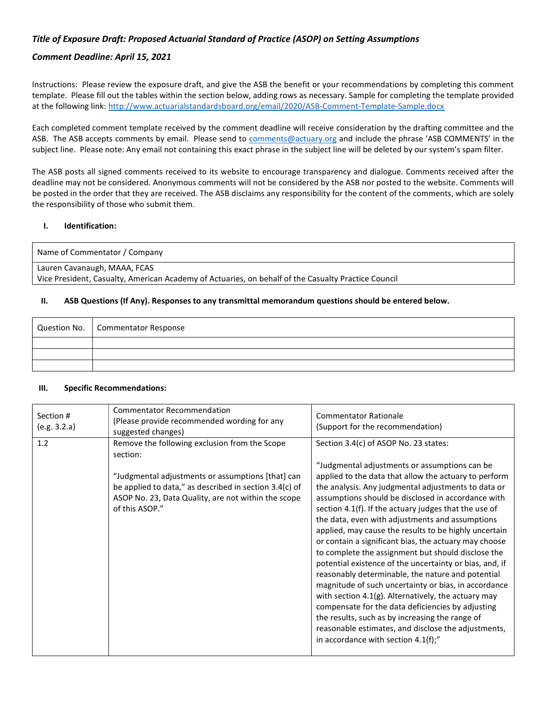#### Comment Deadline: April 15, 2021

Instructions: Please review the exposure draft, and give the ASB the benefit or your recommendations by completing this comment template. Please fill out the tables within the section below, adding rows as necessary. Sample for completing the template provided at the following link: http://www.actuarialstandardsboard.org/email/2020/ASB-Comment-Template-Sample.docx

Each completed comment template received by the comment deadline will receive consideration by the drafting committee and the ASB. The ASB accepts comments by email. Please send to comments@actuary.org and include the phrase 'ASB COMMENTS' in the subject line. Please note: Any email not containing this exact phrase in the subject line will be deleted by our system's spam filter.

The ASB posts all signed comments received to its website to encourage transparency and dialogue. Comments received after the deadline may not be considered. Anonymous comments will not be considered by the ASB nor posted to the website. Comments will be posted in the order that they are received. The ASB disclaims any responsibility for the content of the comments, which are solely the responsibility of those who submit them.

#### I. Identification:

Name of Commentator / Company Lauren Cavanaugh, MAAA, FCAS Vice President, Casualty, American Academy of Actuaries, on behalf of the Casualty Practice Council

#### II. ASB Questions (If Any). Responses to any transmittal memorandum questions should be entered below.

| Question No.   Commentator Response |
|-------------------------------------|
|                                     |
|                                     |
|                                     |

#### III. Specific Recommendations:

| Section #<br>(e.g. 3.2.a) | <b>Commentator Recommendation</b><br>(Please provide recommended wording for any<br>suggested changes)                                                                                                                                            | <b>Commentator Rationale</b><br>(Support for the recommendation)                                                                                                                                                                                                                                                                                                                                                                                                                                                                                                                                                                                                                                                                                                                                                                                                                                                                                                                         |
|---------------------------|---------------------------------------------------------------------------------------------------------------------------------------------------------------------------------------------------------------------------------------------------|------------------------------------------------------------------------------------------------------------------------------------------------------------------------------------------------------------------------------------------------------------------------------------------------------------------------------------------------------------------------------------------------------------------------------------------------------------------------------------------------------------------------------------------------------------------------------------------------------------------------------------------------------------------------------------------------------------------------------------------------------------------------------------------------------------------------------------------------------------------------------------------------------------------------------------------------------------------------------------------|
| 1.2                       | Remove the following exclusion from the Scope<br>section:<br>"Judgmental adjustments or assumptions [that] can<br>be applied to data," as described in section 3.4(c) of<br>ASOP No. 23, Data Quality, are not within the scope<br>of this ASOP." | Section 3.4(c) of ASOP No. 23 states:<br>"Judgmental adjustments or assumptions can be<br>applied to the data that allow the actuary to perform<br>the analysis. Any judgmental adjustments to data or<br>assumptions should be disclosed in accordance with<br>section 4.1(f). If the actuary judges that the use of<br>the data, even with adjustments and assumptions<br>applied, may cause the results to be highly uncertain<br>or contain a significant bias, the actuary may choose<br>to complete the assignment but should disclose the<br>potential existence of the uncertainty or bias, and, if<br>reasonably determinable, the nature and potential<br>magnitude of such uncertainty or bias, in accordance<br>with section $4.1(g)$ . Alternatively, the actuary may<br>compensate for the data deficiencies by adjusting<br>the results, such as by increasing the range of<br>reasonable estimates, and disclose the adjustments,<br>in accordance with section 4.1(f);" |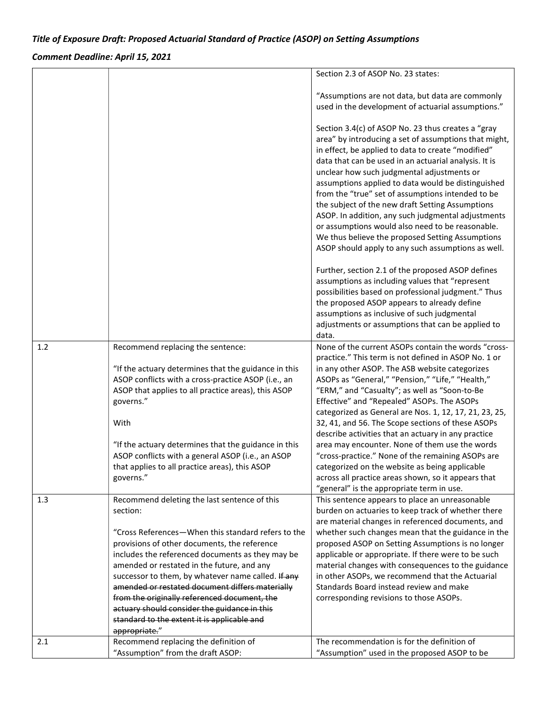Comment Deadline: April 15, 2021

|     |                                                                                                | Section 2.3 of ASOP No. 23 states:                                                                                                                           |
|-----|------------------------------------------------------------------------------------------------|--------------------------------------------------------------------------------------------------------------------------------------------------------------|
|     |                                                                                                | "Assumptions are not data, but data are commonly<br>used in the development of actuarial assumptions."<br>Section 3.4(c) of ASOP No. 23 thus creates a "gray |
|     |                                                                                                | area" by introducing a set of assumptions that might,                                                                                                        |
|     |                                                                                                | in effect, be applied to data to create "modified"                                                                                                           |
|     |                                                                                                | data that can be used in an actuarial analysis. It is<br>unclear how such judgmental adjustments or                                                          |
|     |                                                                                                | assumptions applied to data would be distinguished                                                                                                           |
|     |                                                                                                | from the "true" set of assumptions intended to be                                                                                                            |
|     |                                                                                                | the subject of the new draft Setting Assumptions                                                                                                             |
|     |                                                                                                | ASOP. In addition, any such judgmental adjustments                                                                                                           |
|     |                                                                                                | or assumptions would also need to be reasonable.                                                                                                             |
|     |                                                                                                | We thus believe the proposed Setting Assumptions<br>ASOP should apply to any such assumptions as well.                                                       |
|     |                                                                                                |                                                                                                                                                              |
|     |                                                                                                | Further, section 2.1 of the proposed ASOP defines                                                                                                            |
|     |                                                                                                | assumptions as including values that "represent                                                                                                              |
|     |                                                                                                | possibilities based on professional judgment." Thus<br>the proposed ASOP appears to already define                                                           |
|     |                                                                                                | assumptions as inclusive of such judgmental                                                                                                                  |
|     |                                                                                                | adjustments or assumptions that can be applied to                                                                                                            |
|     |                                                                                                | data.                                                                                                                                                        |
| 1.2 | Recommend replacing the sentence:                                                              | None of the current ASOPs contain the words "cross-<br>practice." This term is not defined in ASOP No. 1 or                                                  |
|     | "If the actuary determines that the guidance in this                                           | in any other ASOP. The ASB website categorizes                                                                                                               |
|     | ASOP conflicts with a cross-practice ASOP (i.e., an                                            | ASOPs as "General," "Pension," "Life," "Health,"                                                                                                             |
|     | ASOP that applies to all practice areas), this ASOP                                            | "ERM," and "Casualty"; as well as "Soon-to-Be                                                                                                                |
|     | governs."                                                                                      | Effective" and "Repealed" ASOPs. The ASOPs                                                                                                                   |
|     | With                                                                                           | categorized as General are Nos. 1, 12, 17, 21, 23, 25,<br>32, 41, and 56. The Scope sections of these ASOPs                                                  |
|     |                                                                                                | describe activities that an actuary in any practice                                                                                                          |
|     | "If the actuary determines that the guidance in this                                           | area may encounter. None of them use the words                                                                                                               |
|     | ASOP conflicts with a general ASOP (i.e., an ASOP                                              | "cross-practice." None of the remaining ASOPs are                                                                                                            |
|     | that applies to all practice areas), this ASOP                                                 | categorized on the website as being applicable                                                                                                               |
|     | governs."                                                                                      | across all practice areas shown, so it appears that                                                                                                          |
| 1.3 | Recommend deleting the last sentence of this                                                   | "general" is the appropriate term in use.<br>This sentence appears to place an unreasonable                                                                  |
|     | section:                                                                                       | burden on actuaries to keep track of whether there                                                                                                           |
|     |                                                                                                | are material changes in referenced documents, and                                                                                                            |
|     | "Cross References-When this standard refers to the                                             | whether such changes mean that the guidance in the                                                                                                           |
|     | provisions of other documents, the reference                                                   | proposed ASOP on Setting Assumptions is no longer                                                                                                            |
|     | includes the referenced documents as they may be<br>amended or restated in the future, and any | applicable or appropriate. If there were to be such<br>material changes with consequences to the guidance                                                    |
|     | successor to them, by whatever name called. If any                                             | in other ASOPs, we recommend that the Actuarial                                                                                                              |
|     | amended or restated document differs materially                                                | Standards Board instead review and make                                                                                                                      |
|     | from the originally referenced document, the                                                   | corresponding revisions to those ASOPs.                                                                                                                      |
|     | actuary should consider the guidance in this                                                   |                                                                                                                                                              |
|     | standard to the extent it is applicable and                                                    |                                                                                                                                                              |
| 2.1 | appropriate."<br>Recommend replacing the definition of                                         | The recommendation is for the definition of                                                                                                                  |
|     | "Assumption" from the draft ASOP:                                                              | "Assumption" used in the proposed ASOP to be                                                                                                                 |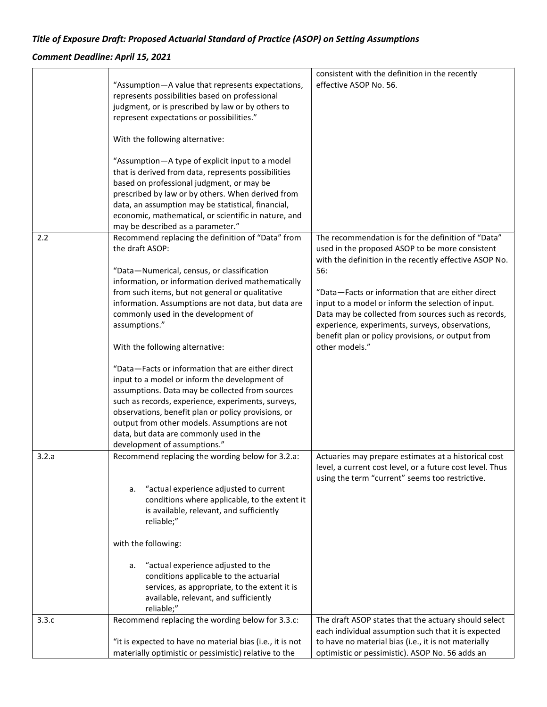## Comment Deadline: April 15, 2021

|       | "Assumption-A value that represents expectations,<br>represents possibilities based on professional<br>judgment, or is prescribed by law or by others to<br>represent expectations or possibilities."<br>With the following alternative:<br>"Assumption-A type of explicit input to a model<br>that is derived from data, represents possibilities<br>based on professional judgment, or may be<br>prescribed by law or by others. When derived from<br>data, an assumption may be statistical, financial,<br>economic, mathematical, or scientific in nature, and<br>may be described as a parameter." | consistent with the definition in the recently<br>effective ASOP No. 56.                                                                                                                                                                                                          |
|-------|---------------------------------------------------------------------------------------------------------------------------------------------------------------------------------------------------------------------------------------------------------------------------------------------------------------------------------------------------------------------------------------------------------------------------------------------------------------------------------------------------------------------------------------------------------------------------------------------------------|-----------------------------------------------------------------------------------------------------------------------------------------------------------------------------------------------------------------------------------------------------------------------------------|
| 2.2   | Recommend replacing the definition of "Data" from<br>the draft ASOP:<br>"Data-Numerical, census, or classification<br>information, or information derived mathematically<br>from such items, but not general or qualitative<br>information. Assumptions are not data, but data are                                                                                                                                                                                                                                                                                                                      | The recommendation is for the definition of "Data"<br>used in the proposed ASOP to be more consistent<br>with the definition in the recently effective ASOP No.<br>56:<br>"Data-Facts or information that are either direct<br>input to a model or inform the selection of input. |
|       | commonly used in the development of<br>assumptions."<br>With the following alternative:                                                                                                                                                                                                                                                                                                                                                                                                                                                                                                                 | Data may be collected from sources such as records,<br>experience, experiments, surveys, observations,<br>benefit plan or policy provisions, or output from<br>other models."                                                                                                     |
|       | "Data-Facts or information that are either direct<br>input to a model or inform the development of<br>assumptions. Data may be collected from sources<br>such as records, experience, experiments, surveys,<br>observations, benefit plan or policy provisions, or<br>output from other models. Assumptions are not<br>data, but data are commonly used in the<br>development of assumptions."                                                                                                                                                                                                          |                                                                                                                                                                                                                                                                                   |
| 3.2.a | Recommend replacing the wording below for 3.2.a:<br>"actual experience adjusted to current<br>a.<br>conditions where applicable, to the extent it<br>is available, relevant, and sufficiently<br>reliable;"                                                                                                                                                                                                                                                                                                                                                                                             | Actuaries may prepare estimates at a historical cost<br>level, a current cost level, or a future cost level. Thus<br>using the term "current" seems too restrictive.                                                                                                              |
|       | with the following:                                                                                                                                                                                                                                                                                                                                                                                                                                                                                                                                                                                     |                                                                                                                                                                                                                                                                                   |
|       | "actual experience adjusted to the<br>а.<br>conditions applicable to the actuarial<br>services, as appropriate, to the extent it is<br>available, relevant, and sufficiently<br>reliable;"                                                                                                                                                                                                                                                                                                                                                                                                              |                                                                                                                                                                                                                                                                                   |
| 3.3.c | Recommend replacing the wording below for 3.3.c:<br>"it is expected to have no material bias (i.e., it is not<br>materially optimistic or pessimistic) relative to the                                                                                                                                                                                                                                                                                                                                                                                                                                  | The draft ASOP states that the actuary should select<br>each individual assumption such that it is expected<br>to have no material bias (i.e., it is not materially<br>optimistic or pessimistic). ASOP No. 56 adds an                                                            |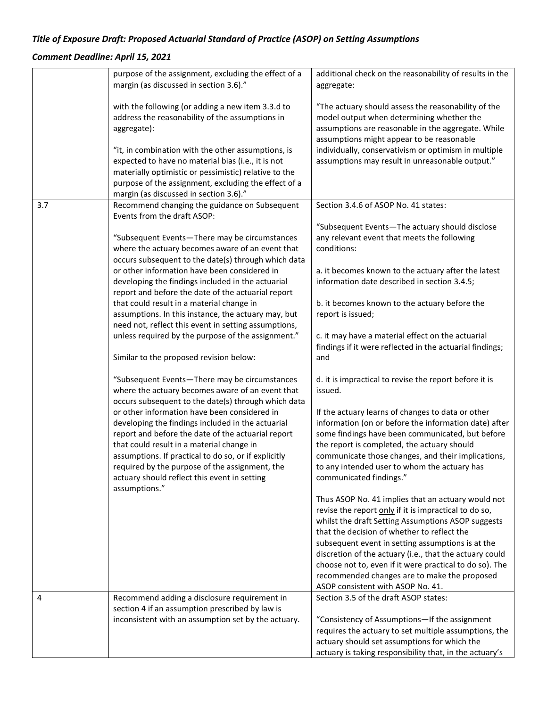## Comment Deadline: April 15, 2021

|     | purpose of the assignment, excluding the effect of a                                                | additional check on the reasonability of results in the                                                     |
|-----|-----------------------------------------------------------------------------------------------------|-------------------------------------------------------------------------------------------------------------|
|     | margin (as discussed in section 3.6)."                                                              | aggregate:                                                                                                  |
|     |                                                                                                     |                                                                                                             |
|     | with the following (or adding a new item 3.3.d to                                                   | "The actuary should assess the reasonability of the                                                         |
|     | address the reasonability of the assumptions in                                                     | model output when determining whether the                                                                   |
|     | aggregate):                                                                                         | assumptions are reasonable in the aggregate. While                                                          |
|     |                                                                                                     | assumptions might appear to be reasonable                                                                   |
|     | "it, in combination with the other assumptions, is                                                  | individually, conservativism or optimism in multiple                                                        |
|     | expected to have no material bias (i.e., it is not                                                  | assumptions may result in unreasonable output."                                                             |
|     | materially optimistic or pessimistic) relative to the                                               |                                                                                                             |
|     | purpose of the assignment, excluding the effect of a                                                |                                                                                                             |
|     | margin (as discussed in section 3.6)."                                                              |                                                                                                             |
| 3.7 | Recommend changing the guidance on Subsequent                                                       | Section 3.4.6 of ASOP No. 41 states:                                                                        |
|     | Events from the draft ASOP:                                                                         |                                                                                                             |
|     |                                                                                                     | "Subsequent Events-The actuary should disclose                                                              |
|     | "Subsequent Events-There may be circumstances                                                       | any relevant event that meets the following                                                                 |
|     | where the actuary becomes aware of an event that                                                    | conditions:                                                                                                 |
|     | occurs subsequent to the date(s) through which data<br>or other information have been considered in | a. it becomes known to the actuary after the latest                                                         |
|     | developing the findings included in the actuarial                                                   | information date described in section 3.4.5;                                                                |
|     | report and before the date of the actuarial report                                                  |                                                                                                             |
|     | that could result in a material change in                                                           | b. it becomes known to the actuary before the                                                               |
|     | assumptions. In this instance, the actuary may, but                                                 | report is issued;                                                                                           |
|     | need not, reflect this event in setting assumptions,                                                |                                                                                                             |
|     | unless required by the purpose of the assignment."                                                  | c. it may have a material effect on the actuarial                                                           |
|     |                                                                                                     | findings if it were reflected in the actuarial findings;                                                    |
|     | Similar to the proposed revision below:                                                             | and                                                                                                         |
|     |                                                                                                     |                                                                                                             |
|     | "Subsequent Events-There may be circumstances                                                       | d. it is impractical to revise the report before it is                                                      |
|     | where the actuary becomes aware of an event that                                                    | issued.                                                                                                     |
|     | occurs subsequent to the date(s) through which data                                                 |                                                                                                             |
|     | or other information have been considered in                                                        | If the actuary learns of changes to data or other                                                           |
|     | developing the findings included in the actuarial                                                   | information (on or before the information date) after                                                       |
|     | report and before the date of the actuarial report                                                  | some findings have been communicated, but before                                                            |
|     | that could result in a material change in                                                           | the report is completed, the actuary should                                                                 |
|     | assumptions. If practical to do so, or if explicitly                                                | communicate those changes, and their implications,                                                          |
|     | required by the purpose of the assignment, the                                                      | to any intended user to whom the actuary has                                                                |
|     | actuary should reflect this event in setting                                                        | communicated findings."                                                                                     |
|     | assumptions."                                                                                       |                                                                                                             |
|     |                                                                                                     | Thus ASOP No. 41 implies that an actuary would not                                                          |
|     |                                                                                                     | revise the report only if it is impractical to do so,<br>whilst the draft Setting Assumptions ASOP suggests |
|     |                                                                                                     | that the decision of whether to reflect the                                                                 |
|     |                                                                                                     | subsequent event in setting assumptions is at the                                                           |
|     |                                                                                                     | discretion of the actuary (i.e., that the actuary could                                                     |
|     |                                                                                                     | choose not to, even if it were practical to do so). The                                                     |
|     |                                                                                                     | recommended changes are to make the proposed                                                                |
|     |                                                                                                     | ASOP consistent with ASOP No. 41.                                                                           |
| 4   | Recommend adding a disclosure requirement in                                                        | Section 3.5 of the draft ASOP states:                                                                       |
|     | section 4 if an assumption prescribed by law is                                                     |                                                                                                             |
|     | inconsistent with an assumption set by the actuary.                                                 | "Consistency of Assumptions-If the assignment                                                               |
|     |                                                                                                     | requires the actuary to set multiple assumptions, the                                                       |
|     |                                                                                                     | actuary should set assumptions for which the                                                                |
|     |                                                                                                     | actuary is taking responsibility that, in the actuary's                                                     |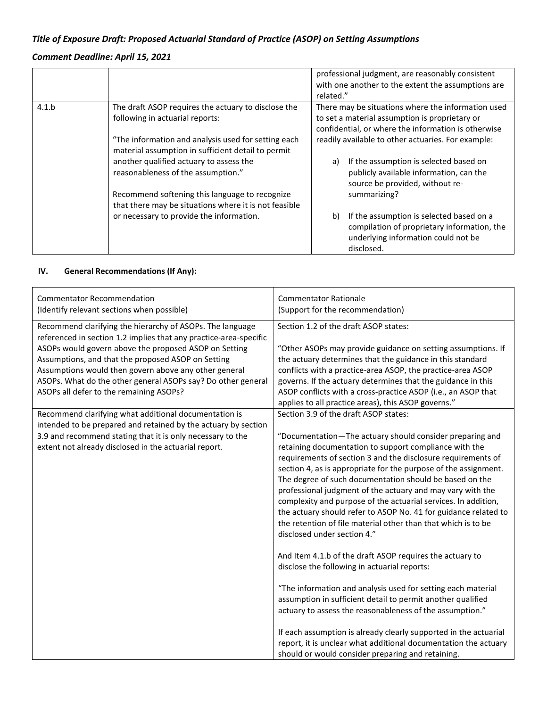## Comment Deadline: April 15, 2021

|       |                                                                                                           | professional judgment, are reasonably consistent<br>with one another to the extent the assumptions are<br>related."                                |
|-------|-----------------------------------------------------------------------------------------------------------|----------------------------------------------------------------------------------------------------------------------------------------------------|
| 4.1.b | The draft ASOP requires the actuary to disclose the                                                       | There may be situations where the information used                                                                                                 |
|       | following in actuarial reports:                                                                           | to set a material assumption is proprietary or                                                                                                     |
|       |                                                                                                           | confidential, or where the information is otherwise                                                                                                |
|       | "The information and analysis used for setting each<br>material assumption in sufficient detail to permit | readily available to other actuaries. For example:                                                                                                 |
|       | another qualified actuary to assess the<br>reasonableness of the assumption."                             | If the assumption is selected based on<br>a)<br>publicly available information, can the<br>source be provided, without re-                         |
|       | Recommend softening this language to recognize<br>that there may be situations where it is not feasible   | summarizing?                                                                                                                                       |
|       | or necessary to provide the information.                                                                  | If the assumption is selected based on a<br>b)<br>compilation of proprietary information, the<br>underlying information could not be<br>disclosed. |

#### IV. General Recommendations (If Any):

| <b>Commentator Recommendation</b>                                                                                                                                                                                                              | <b>Commentator Rationale</b>                                                                                                                                                                                                                                                                                                                                                                                                                                                                                                                                                                                                                                                                                                                                                                                                                                                                                                                                                                                                                                                                                                                                    |
|------------------------------------------------------------------------------------------------------------------------------------------------------------------------------------------------------------------------------------------------|-----------------------------------------------------------------------------------------------------------------------------------------------------------------------------------------------------------------------------------------------------------------------------------------------------------------------------------------------------------------------------------------------------------------------------------------------------------------------------------------------------------------------------------------------------------------------------------------------------------------------------------------------------------------------------------------------------------------------------------------------------------------------------------------------------------------------------------------------------------------------------------------------------------------------------------------------------------------------------------------------------------------------------------------------------------------------------------------------------------------------------------------------------------------|
| (Identify relevant sections when possible)                                                                                                                                                                                                     | (Support for the recommendation)                                                                                                                                                                                                                                                                                                                                                                                                                                                                                                                                                                                                                                                                                                                                                                                                                                                                                                                                                                                                                                                                                                                                |
| Recommend clarifying the hierarchy of ASOPs. The language                                                                                                                                                                                      | Section 1.2 of the draft ASOP states:                                                                                                                                                                                                                                                                                                                                                                                                                                                                                                                                                                                                                                                                                                                                                                                                                                                                                                                                                                                                                                                                                                                           |
| referenced in section 1.2 implies that any practice-area-specific                                                                                                                                                                              | "Other ASOPs may provide guidance on setting assumptions. If                                                                                                                                                                                                                                                                                                                                                                                                                                                                                                                                                                                                                                                                                                                                                                                                                                                                                                                                                                                                                                                                                                    |
| ASOPs would govern above the proposed ASOP on Setting                                                                                                                                                                                          | the actuary determines that the guidance in this standard                                                                                                                                                                                                                                                                                                                                                                                                                                                                                                                                                                                                                                                                                                                                                                                                                                                                                                                                                                                                                                                                                                       |
| Assumptions, and that the proposed ASOP on Setting                                                                                                                                                                                             | conflicts with a practice-area ASOP, the practice-area ASOP                                                                                                                                                                                                                                                                                                                                                                                                                                                                                                                                                                                                                                                                                                                                                                                                                                                                                                                                                                                                                                                                                                     |
| Assumptions would then govern above any other general                                                                                                                                                                                          | governs. If the actuary determines that the guidance in this                                                                                                                                                                                                                                                                                                                                                                                                                                                                                                                                                                                                                                                                                                                                                                                                                                                                                                                                                                                                                                                                                                    |
| ASOPs. What do the other general ASOPs say? Do other general                                                                                                                                                                                   | ASOP conflicts with a cross-practice ASOP (i.e., an ASOP that                                                                                                                                                                                                                                                                                                                                                                                                                                                                                                                                                                                                                                                                                                                                                                                                                                                                                                                                                                                                                                                                                                   |
| ASOPs all defer to the remaining ASOPs?                                                                                                                                                                                                        | applies to all practice areas), this ASOP governs."                                                                                                                                                                                                                                                                                                                                                                                                                                                                                                                                                                                                                                                                                                                                                                                                                                                                                                                                                                                                                                                                                                             |
| Recommend clarifying what additional documentation is<br>intended to be prepared and retained by the actuary by section<br>3.9 and recommend stating that it is only necessary to the<br>extent not already disclosed in the actuarial report. | Section 3.9 of the draft ASOP states:<br>"Documentation-The actuary should consider preparing and<br>retaining documentation to support compliance with the<br>requirements of section 3 and the disclosure requirements of<br>section 4, as is appropriate for the purpose of the assignment.<br>The degree of such documentation should be based on the<br>professional judgment of the actuary and may vary with the<br>complexity and purpose of the actuarial services. In addition,<br>the actuary should refer to ASOP No. 41 for guidance related to<br>the retention of file material other than that which is to be<br>disclosed under section 4."<br>And Item 4.1.b of the draft ASOP requires the actuary to<br>disclose the following in actuarial reports:<br>"The information and analysis used for setting each material<br>assumption in sufficient detail to permit another qualified<br>actuary to assess the reasonableness of the assumption."<br>If each assumption is already clearly supported in the actuarial<br>report, it is unclear what additional documentation the actuary<br>should or would consider preparing and retaining. |